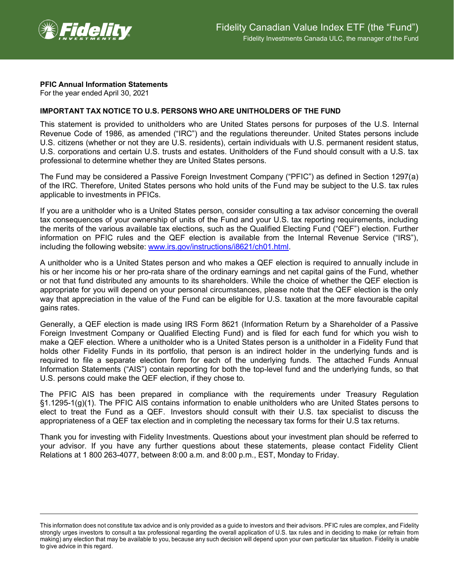

## **PFIC Annual Information Statements**

For the year ended April 30, 2021

## **IMPORTANT TAX NOTICE TO U.S. PERSONS WHO ARE UNITHOLDERS OF THE FUND**

This statement is provided to unitholders who are United States persons for purposes of the U.S. Internal Revenue Code of 1986, as amended ("IRC") and the regulations thereunder. United States persons include U.S. citizens (whether or not they are U.S. residents), certain individuals with U.S. permanent resident status, U.S. corporations and certain U.S. trusts and estates. Unitholders of the Fund should consult with a U.S. tax professional to determine whether they are United States persons.

The Fund may be considered a Passive Foreign Investment Company ("PFIC") as defined in Section 1297(a) of the IRC. Therefore, United States persons who hold units of the Fund may be subject to the U.S. tax rules applicable to investments in PFICs.

If you are a unitholder who is a United States person, consider consulting a tax advisor concerning the overall tax consequences of your ownership of units of the Fund and your U.S. tax reporting requirements, including the merits of the various available tax elections, such as the Qualified Electing Fund ("QEF") election. Further information on PFIC rules and the QEF election is available from the Internal Revenue Service ("IRS"), including the following website: [www.irs.gov/instructions/i8621/ch01.html.](http://www.irs.gov/instructions/i8621/ch01.html)

A unitholder who is a United States person and who makes a QEF election is required to annually include in his or her income his or her pro-rata share of the ordinary earnings and net capital gains of the Fund, whether or not that fund distributed any amounts to its shareholders. While the choice of whether the QEF election is appropriate for you will depend on your personal circumstances, please note that the QEF election is the only way that appreciation in the value of the Fund can be eligible for U.S. taxation at the more favourable capital gains rates.

Generally, a QEF election is made using IRS Form 8621 (Information Return by a Shareholder of a Passive Foreign Investment Company or Qualified Electing Fund) and is filed for each fund for which you wish to make a QEF election. Where a unitholder who is a United States person is a unitholder in a Fidelity Fund that holds other Fidelity Funds in its portfolio, that person is an indirect holder in the underlying funds and is required to file a separate election form for each of the underlying funds. The attached Funds Annual Information Statements ("AIS") contain reporting for both the top-level fund and the underlying funds, so that U.S. persons could make the QEF election, if they chose to.

The PFIC AIS has been prepared in compliance with the requirements under Treasury Regulation §1.1295-1(g)(1). The PFIC AIS contains information to enable unitholders who are United States persons to elect to treat the Fund as a QEF. Investors should consult with their U.S. tax specialist to discuss the appropriateness of a QEF tax election and in completing the necessary tax forms for their U.S tax returns.

Thank you for investing with Fidelity Investments. Questions about your investment plan should be referred to your advisor. If you have any further questions about these statements, please contact Fidelity Client Relations at 1 800 263-4077, between 8:00 a.m. and 8:00 p.m., EST, Monday to Friday.

This information does not constitute tax advice and is only provided as a guide to investors and their advisors. PFIC rules are complex, and Fidelity strongly urges investors to consult a tax professional regarding the overall application of U.S. tax rules and in deciding to make (or refrain from making) any election that may be available to you, because any such decision will depend upon your own particular tax situation. Fidelity is unable to give advice in this regard.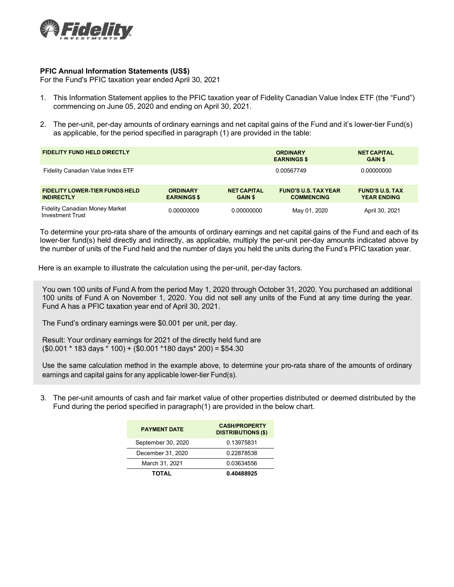

## **PFIC Annual Information Statements (US\$)**

For the Fund's PFIC taxation year ended April 30, 2021

- 1. This Information Statement applies to the PFIC taxation year of Fidelity Canadian Value Index ETF (the "Fund") commencing on June 05, 2020 and ending on April 30, 2021.
- 2. The per-unit, per-day amounts of ordinary earnings and net capital gains of the Fund and it's lower-tier Fund(s) as applicable, for the period specified in paragraph (1) are provided in the table:

| <b>FIDELITY FUND HELD DIRECTLY</b>                               |                                       |                                      | <b>ORDINARY</b><br><b>EARNINGS \$</b>            | <b>NET CAPITAL</b><br><b>GAIN \$</b>         |  |
|------------------------------------------------------------------|---------------------------------------|--------------------------------------|--------------------------------------------------|----------------------------------------------|--|
| Fidelity Canadian Value Index ETF                                |                                       |                                      | 0.00567749                                       | 0.00000000                                   |  |
| <b>FIDELITY LOWER-TIER FUNDS HELD</b><br><b>INDIRECTLY</b>       | <b>ORDINARY</b><br><b>EARNINGS \$</b> | <b>NET CAPITAL</b><br><b>GAIN \$</b> | <b>FUND'S U.S. TAX YEAR</b><br><b>COMMENCING</b> | <b>FUND'S U.S. TAX</b><br><b>YEAR ENDING</b> |  |
| <b>Fidelity Canadian Money Market</b><br><b>Investment Trust</b> | 0.00000009                            | 0.00000000                           | May 01, 2020                                     | April 30, 2021                               |  |

To determine your pro-rata share of the amounts of ordinary earnings and net capital gains of the Fund and each of its lower-tier fund(s) held directly and indirectly, as applicable, multiply the per-unit per-day amounts indicated above by the number of units of the Fund held and the number of days you held the units during the Fund's PFIC taxation year.

Here is an example to illustrate the calculation using the per-unit, per-day factors.

You own 100 units of Fund A from the period May 1, 2020 through October 31, 2020. You purchased an additional 100 units of Fund A on November 1, 2020. You did not sell any units of the Fund at any time during the year. Fund A has a PFIC taxation year end of April 30, 2021.

The Fund's ordinary earnings were \$0.001 per unit, per day.

Result: Your ordinary earnings for 2021 of the directly held fund are (\$0.001 \* 183 days \* 100) + (\$0.001 \*180 days\* 200) = \$54.30

Use the same calculation method in the example above, to determine your pro-rata share of the amounts of ordinary earnings and capital gains for any applicable lower-tier Fund(s).

3. The per-unit amounts of cash and fair market value of other properties distributed or deemed distributed by the Fund during the period specified in paragraph(1) are provided in the below chart.

| <b>PAYMENT DATE</b> | <b>CASH/PROPERTY</b><br><b>DISTRIBUTIONS (\$)</b> |  |  |
|---------------------|---------------------------------------------------|--|--|
| September 30, 2020  | 0.13975831                                        |  |  |
| December 31, 2020   | 0.22878538                                        |  |  |
| March 31, 2021      | 0.03634556                                        |  |  |
| <b>TOTAL</b>        | 0.40488925                                        |  |  |